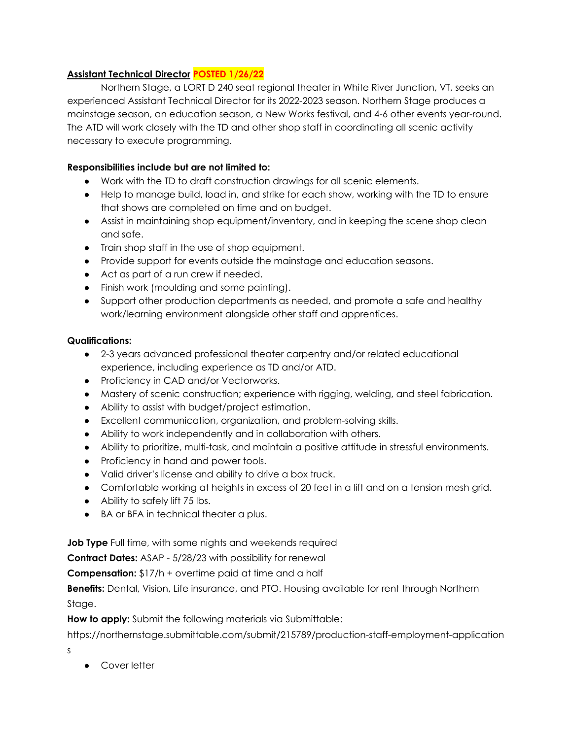## **Assistant Technical Director POSTED 1/26/22**

Northern Stage, a LORT D 240 seat regional theater in White River Junction, VT, seeks an experienced Assistant Technical Director for its 2022-2023 season. Northern Stage produces a mainstage season, an education season, a New Works festival, and 4-6 other events year-round. The ATD will work closely with the TD and other shop staff in coordinating all scenic activity necessary to execute programming.

## **Responsibilities include but are not limited to:**

- Work with the TD to draft construction drawings for all scenic elements.
- Help to manage build, load in, and strike for each show, working with the TD to ensure that shows are completed on time and on budget.
- Assist in maintaining shop equipment/inventory, and in keeping the scene shop clean and safe.
- Train shop staff in the use of shop equipment.
- Provide support for events outside the mainstage and education seasons.
- Act as part of a run crew if needed.
- Finish work (moulding and some painting).
- Support other production departments as needed, and promote a safe and healthy work/learning environment alongside other staff and apprentices.

## **Qualifications:**

- 2-3 years advanced professional theater carpentry and/or related educational experience, including experience as TD and/or ATD.
- Proficiency in CAD and/or Vectorworks.
- Mastery of scenic construction; experience with rigging, welding, and steel fabrication.
- Ability to assist with budget/project estimation.
- Excellent communication, organization, and problem-solving skills.
- Ability to work independently and in collaboration with others.
- Ability to prioritize, multi-task, and maintain a positive attitude in stressful environments.
- Proficiency in hand and power tools.
- Valid driver's license and ability to drive a box truck.
- Comfortable working at heights in excess of 20 feet in a lift and on a tension mesh grid.
- Ability to safely lift 75 lbs.
- BA or BFA in technical theater a plus.

**Job Type** Full time, with some nights and weekends required

**Contract Dates:** ASAP - 5/28/23 with possibility for renewal

**Compensation:** \$17/h + overtime paid at time and a half

**Benefits:** Dental, Vision, Life insurance, and PTO. Housing available for rent through Northern Stage.

**How to apply:** Submit the following materials via Submittable:

https://northernstage.submittable.com/submit/215789/production-staff-employment-application

s

● Cover letter